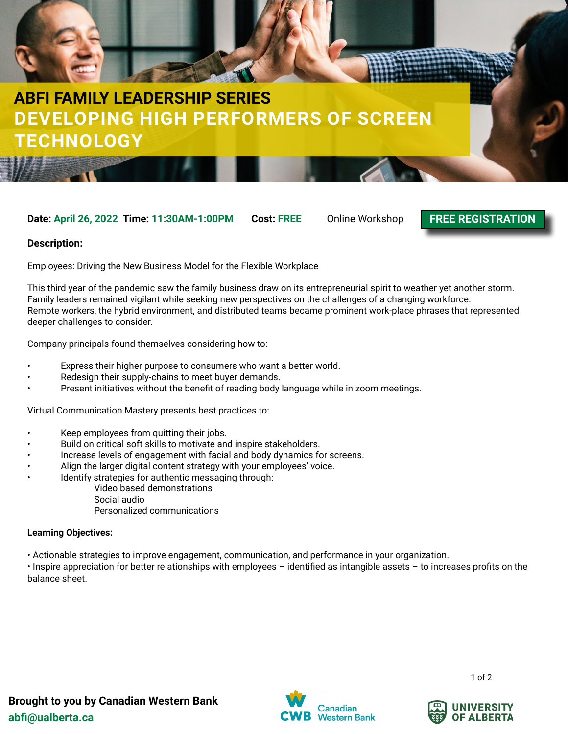

# **DEVELOPING HIGH PERFORMERS OF SCREEN TECHNOLOGY ABFI FAMILY LEADERSHIP SERIES**

### **Date: April 26, 2022 Time: 11:30AM-1:00PM Cost: FREE** Online Workshop

**[FREE REGISTRATION](https://forms.gle/AU5Yn3kk9gJgaYu38)**

#### **Description:**

Employees: Driving the New Business Model for the Flexible Workplace

This third year of the pandemic saw the family business draw on its entrepreneurial spirit to weather yet another storm. Family leaders remained vigilant while seeking new perspectives on the challenges of a changing workforce. Remote workers, the hybrid environment, and distributed teams became prominent work-place phrases that represented deeper challenges to consider.

Company principals found themselves considering how to:

- Express their higher purpose to consumers who want a better world.
- Redesign their supply-chains to meet buyer demands.
- Present initiatives without the benefit of reading body language while in zoom meetings.

Virtual Communication Mastery presents best practices to:

- Keep employees from quitting their jobs.
- Build on critical soft skills to motivate and inspire stakeholders.
- Increase levels of engagement with facial and body dynamics for screens.
- Align the larger digital content strategy with your employees' voice.
- Identify strategies for authentic messaging through:
	- Video based demonstrations
	- Social audio
	- Personalized communications

#### **Learning Objectives:**

• Actionable strategies to improve engagement, communication, and performance in your organization.

• Inspire appreciation for better relationships with employees – identified as intangible assets – to increases profits on the balance sheet.